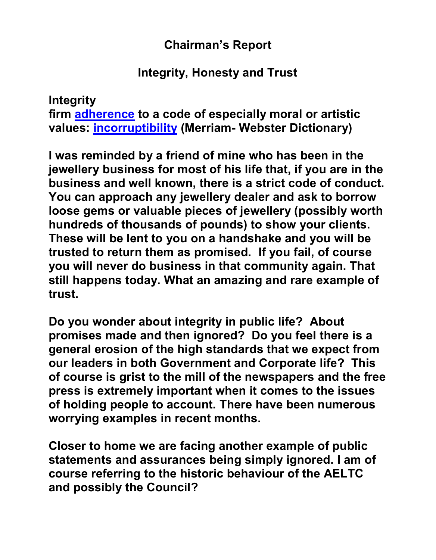## **Chairman's Report**

## **Integrity, Honesty and Trust**

**Integrity firm adherence to a code of especially moral or artistic values: incorruptibility (Merriam- Webster Dictionary)**

**I was reminded by a friend of mine who has been in the jewellery business for most of his life that, if you are in the business and well known, there is a strict code of conduct. You can approach any jewellery dealer and ask to borrow loose gems or valuable pieces of jewellery (possibly worth hundreds of thousands of pounds) to show your clients. These will be lent to you on a handshake and you will be trusted to return them as promised. If you fail, of course you will never do business in that community again. That still happens today. What an amazing and rare example of trust.**

**Do you wonder about integrity in public life? About promises made and then ignored? Do you feel there is a general erosion of the high standards that we expect from our leaders in both Government and Corporate life? This of course is grist to the mill of the newspapers and the free press is extremely important when it comes to the issues of holding people to account. There have been numerous worrying examples in recent months.**

**Closer to home we are facing another example of public statements and assurances being simply ignored. I am of course referring to the historic behaviour of the AELTC and possibly the Council?**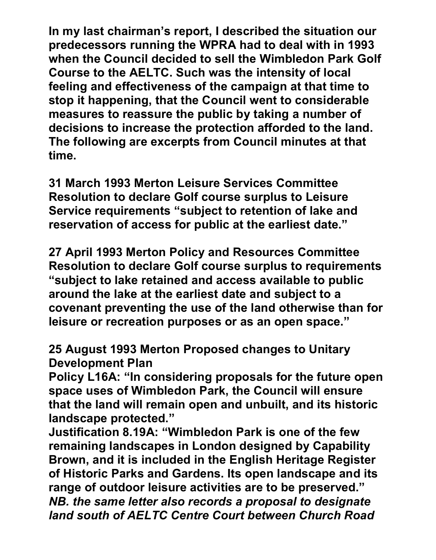**In my last chairman's report, I described the situation our predecessors running the WPRA had to deal with in 1993 when the Council decided to sell the Wimbledon Park Golf Course to the AELTC. Such was the intensity of local feeling and effectiveness of the campaign at that time to stop it happening, that the Council went to considerable measures to reassure the public by taking a number of decisions to increase the protection afforded to the land. The following are excerpts from Council minutes at that time.**

**31 March 1993 Merton Leisure Services Committee Resolution to declare Golf course surplus to Leisure Service requirements "subject to retention of lake and reservation of access for public at the earliest date."** 

**27 April 1993 Merton Policy and Resources Committee Resolution to declare Golf course surplus to requirements "subject to lake retained and access available to public around the lake at the earliest date and subject to a covenant preventing the use of the land otherwise than for leisure or recreation purposes or as an open space."** 

## **25 August 1993 Merton Proposed changes to Unitary Development Plan**

**Policy L16A: "In considering proposals for the future open space uses of Wimbledon Park, the Council will ensure that the land will remain open and unbuilt, and its historic landscape protected."** 

**Justification 8.19A: "Wimbledon Park is one of the few remaining landscapes in London designed by Capability Brown, and it is included in the English Heritage Register of Historic Parks and Gardens. Its open landscape and its range of outdoor leisure activities are to be preserved."**  *NB. the same letter also records a proposal to designate land south of AELTC Centre Court between Church Road*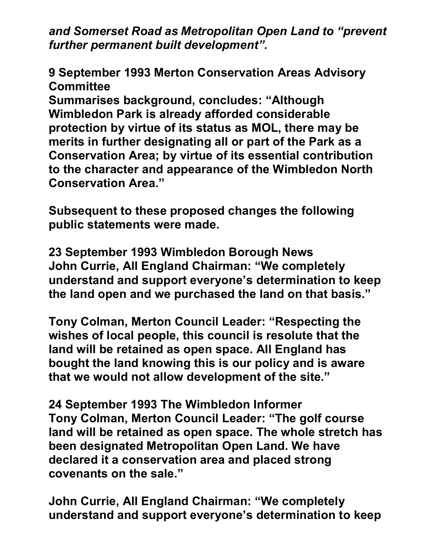*and Somerset Road as Metropolitan Open Land to "prevent further permanent built development".* 

**9 September 1993 Merton Conservation Areas Advisory Committee** 

**Summarises background, concludes: "Although Wimbledon Park is already afforded considerable protection by virtue of its status as MOL, there may be merits in further designating all or part of the Park as a Conservation Area; by virtue of its essential contribution to the character and appearance of the Wimbledon North Conservation Area."** 

**Subsequent to these proposed changes the following public statements were made.**

**23 September 1993 Wimbledon Borough News John Currie, All England Chairman: "We completely understand and support everyone's determination to keep the land open and we purchased the land on that basis."** 

**Tony Colman, Merton Council Leader: "Respecting the wishes of local people, this council is resolute that the land will be retained as open space. All England has bought the land knowing this is our policy and is aware that we would not allow development of the site."**

**24 September 1993 The Wimbledon Informer Tony Colman, Merton Council Leader: "The golf course land will be retained as open space. The whole stretch has been designated Metropolitan Open Land. We have declared it a conservation area and placed strong covenants on the sale."** 

**John Currie, All England Chairman: "We completely understand and support everyone's determination to keep**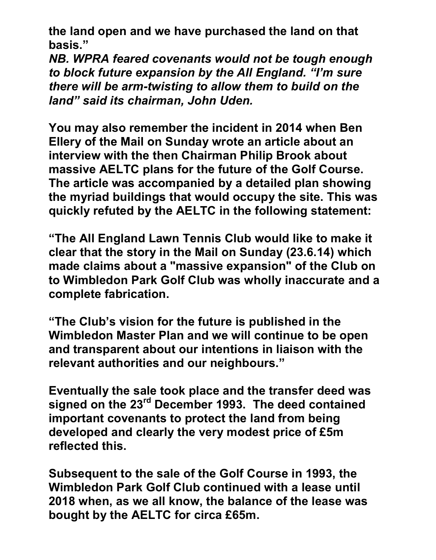**the land open and we have purchased the land on that basis."** 

*NB. WPRA feared covenants would not be tough enough to block future expansion by the All England. "I'm sure there will be arm-twisting to allow them to build on the land" said its chairman, John Uden.*

**You may also remember the incident in 2014 when Ben Ellery of the Mail on Sunday wrote an article about an interview with the then Chairman Philip Brook about massive AELTC plans for the future of the Golf Course. The article was accompanied by a detailed plan showing the myriad buildings that would occupy the site. This was quickly refuted by the AELTC in the following statement:**

**"The All England Lawn Tennis Club would like to make it clear that the story in the Mail on Sunday (23.6.14) which made claims about a "massive expansion" of the Club on to Wimbledon Park Golf Club was wholly inaccurate and a complete fabrication.**

**"The Club's vision for the future is published in the Wimbledon Master Plan and we will continue to be open and transparent about our intentions in liaison with the relevant authorities and our neighbours."**

**Eventually the sale took place and the transfer deed was signed on the 23rd December 1993. The deed contained important covenants to protect the land from being developed and clearly the very modest price of £5m reflected this.** 

**Subsequent to the sale of the Golf Course in 1993, the Wimbledon Park Golf Club continued with a lease until 2018 when, as we all know, the balance of the lease was bought by the AELTC for circa £65m.**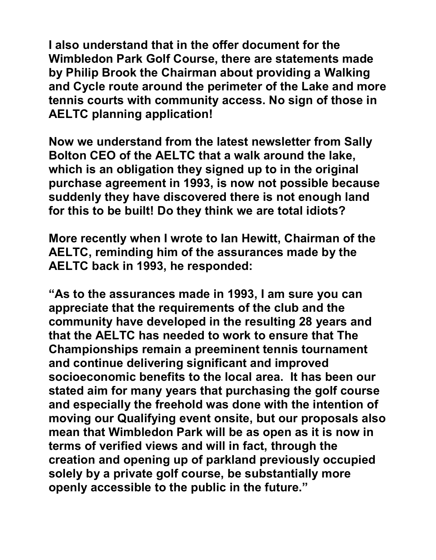**I also understand that in the offer document for the Wimbledon Park Golf Course, there are statements made by Philip Brook the Chairman about providing a Walking and Cycle route around the perimeter of the Lake and more tennis courts with community access. No sign of those in AELTC planning application!** 

**Now we understand from the latest newsletter from Sally Bolton CEO of the AELTC that a walk around the lake, which is an obligation they signed up to in the original purchase agreement in 1993, is now not possible because suddenly they have discovered there is not enough land for this to be built! Do they think we are total idiots?** 

**More recently when I wrote to Ian Hewitt, Chairman of the AELTC, reminding him of the assurances made by the AELTC back in 1993, he responded:**

**"As to the assurances made in 1993, I am sure you can appreciate that the requirements of the club and the community have developed in the resulting 28 years and that the AELTC has needed to work to ensure that The Championships remain a preeminent tennis tournament and continue delivering significant and improved socioeconomic benefits to the local area. It has been our stated aim for many years that purchasing the golf course and especially the freehold was done with the intention of moving our Qualifying event onsite, but our proposals also mean that Wimbledon Park will be as open as it is now in terms of verified views and will in fact, through the creation and opening up of parkland previously occupied solely by a private golf course, be substantially more openly accessible to the public in the future."**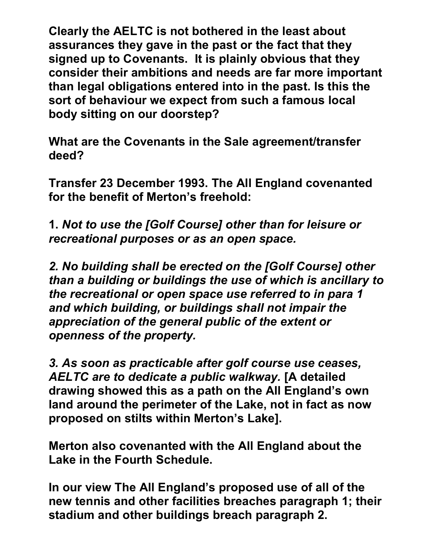**Clearly the AELTC is not bothered in the least about assurances they gave in the past or the fact that they signed up to Covenants. It is plainly obvious that they consider their ambitions and needs are far more important than legal obligations entered into in the past. Is this the sort of behaviour we expect from such a famous local body sitting on our doorstep?**

**What are the Covenants in the Sale agreement/transfer deed?**

**Transfer 23 December 1993. The All England covenanted for the benefit of Merton's freehold:**

**1.** *Not to use the [Golf Course] other than for leisure or recreational purposes or as an open space.*

*2. No building shall be erected on the [Golf Course] other than a building or buildings the use of which is ancillary to the recreational or open space use referred to in para 1 and which building, or buildings shall not impair the appreciation of the general public of the extent or openness of the property.*

*3. As soon as practicable after golf course use ceases, AELTC are to dedicate a public walkway.* **[A detailed drawing showed this as a path on the All England's own land around the perimeter of the Lake, not in fact as now proposed on stilts within Merton's Lake].**

**Merton also covenanted with the All England about the Lake in the Fourth Schedule.**

**In our view The All England's proposed use of all of the new tennis and other facilities breaches paragraph 1; their stadium and other buildings breach paragraph 2.**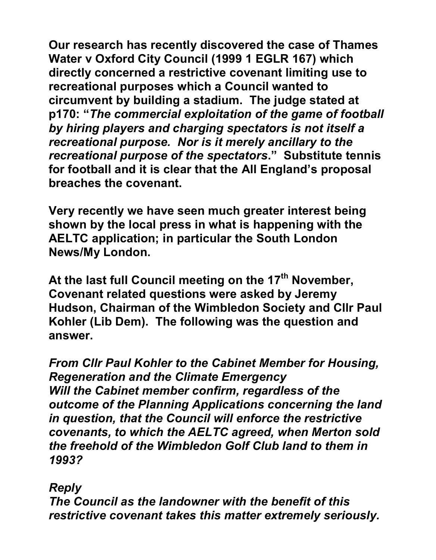**Our research has recently discovered the case of Thames Water v Oxford City Council (1999 1 EGLR 167) which directly concerned a restrictive covenant limiting use to recreational purposes which a Council wanted to circumvent by building a stadium. The judge stated at p170: "***The commercial exploitation of the game of football by hiring players and charging spectators is not itself a recreational purpose. Nor is it merely ancillary to the recreational purpose of the spectators***." Substitute tennis for football and it is clear that the All England's proposal breaches the covenant.**

**Very recently we have seen much greater interest being shown by the local press in what is happening with the AELTC application; in particular the South London News/My London.** 

**At the last full Council meeting on the 17th November, Covenant related questions were asked by Jeremy Hudson, Chairman of the Wimbledon Society and Cllr Paul Kohler (Lib Dem). The following was the question and answer.**

*From Cllr Paul Kohler to the Cabinet Member for Housing, Regeneration and the Climate Emergency Will the Cabinet member confirm, regardless of the outcome of the Planning Applications concerning the land in question, that the Council will enforce the restrictive covenants, to which the AELTC agreed, when Merton sold the freehold of the Wimbledon Golf Club land to them in 1993?*

## *Reply*

*The Council as the landowner with the benefit of this restrictive covenant takes this matter extremely seriously.*